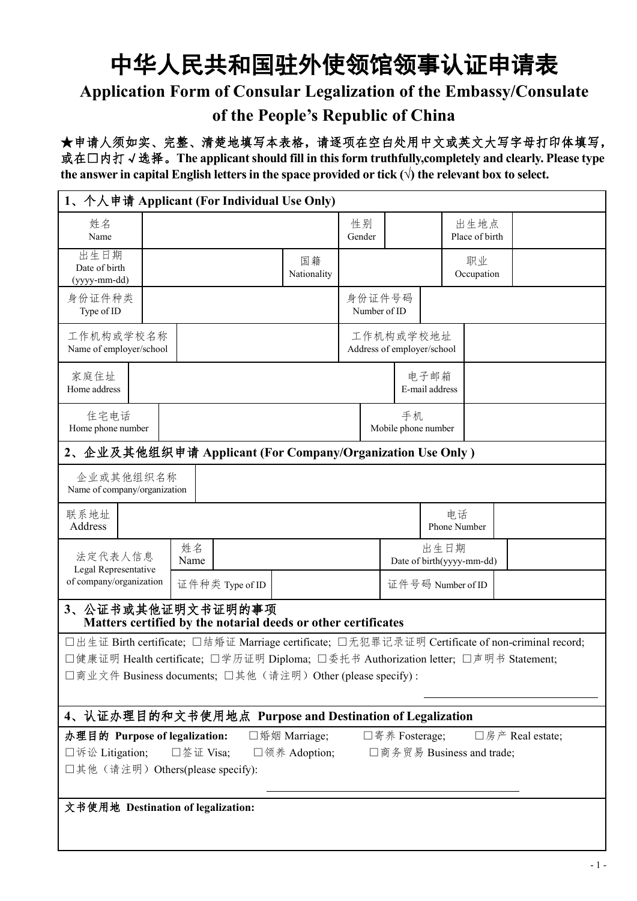## 中华人民共和国驻外使领馆领事认证申请表 **Application Form of Consular Legalization of the Embassy/Consulate of the People's Republic of China**

★申请人须如实、完整、清楚地填写本表格,请逐项在空白处用中文或英文大写字母打印体填写, 或在□内打√选择。**The applicantshould fill in thisform truthfully,completely and clearly. Please type the** answer in capital English letters in the space provided or tick  $(\sqrt{})$  the relevant box to select.

|                                           | 1、个人申请 Applicant (For Individual Use Only)                                                      |                   |                        |                                         |                                   |                  |
|-------------------------------------------|-------------------------------------------------------------------------------------------------|-------------------|------------------------|-----------------------------------------|-----------------------------------|------------------|
| 姓名<br>Name                                |                                                                                                 |                   | 性别<br>Gender           |                                         | 出生地点<br>Place of birth            |                  |
| 出生日期<br>Date of birth<br>(yyyy-mm-dd)     |                                                                                                 | 国籍<br>Nationality |                        |                                         | 职业<br>Occupation                  |                  |
| 身份证件种类<br>Type of ID                      |                                                                                                 |                   | 身份证件号码<br>Number of ID |                                         |                                   |                  |
| 工作机构或学校名称<br>Name of employer/school      |                                                                                                 |                   |                        | 工作机构或学校地址<br>Address of employer/school |                                   |                  |
| 家庭住址<br>Home address                      |                                                                                                 |                   |                        | 电子邮箱<br>E-mail address                  |                                   |                  |
| 住宅电话<br>Home phone number                 |                                                                                                 |                   |                        | 手机<br>Mobile phone number               |                                   |                  |
|                                           | 2、企业及其他组织申请 Applicant (For Company/Organization Use Only)                                       |                   |                        |                                         |                                   |                  |
| 企业或其他组织名称<br>Name of company/organization |                                                                                                 |                   |                        |                                         |                                   |                  |
| 联系地址<br>Address                           |                                                                                                 |                   |                        | 电话<br>Phone Number                      |                                   |                  |
| 法定代表人信息<br>Legal Representative           | 姓名<br>Name                                                                                      |                   |                        |                                         | 出生日期<br>Date of birth(yyyy-mm-dd) |                  |
| of company/organization                   | 证件种类 Type of ID                                                                                 |                   |                        | 证件号码 Number of ID                       |                                   |                  |
|                                           | 3、公证书或其他证明文书证明的事项<br>Matters certified by the notarial deeds or other certificates              |                   |                        |                                         |                                   |                  |
|                                           | □出生证 Birth certificate; □结婚证 Marriage certificate; □无犯罪记录证明 Certificate of non-criminal record; |                   |                        |                                         |                                   |                  |
|                                           | □健康证明 Health certificate; □学历证明 Diploma; □委托书 Authorization letter; □声明书 Statement;             |                   |                        |                                         |                                   |                  |
|                                           | □商业文件 Business documents; □其他(请注明) Other (please specify):                                      |                   |                        |                                         |                                   |                  |
|                                           | 4、认证办理目的和文书使用地点 Purpose and Destination of Legalization                                         |                   |                        |                                         |                                   |                  |
| 办理目的 Purpose of legalization:             |                                                                                                 | □婚姻 Marriage;     |                        | □寄养 Fosterage;                          |                                   | □房产 Real estate; |
| □诉讼 Litigation;                           | □签证 Visa;                                                                                       | □领养 Adoption;     |                        |                                         | □商务贸易 Business and trade;         |                  |
|                                           | □其他(请注明) Others(please specify):                                                                |                   |                        |                                         |                                   |                  |
| 文书使用地 Destination of legalization:        |                                                                                                 |                   |                        |                                         |                                   |                  |
|                                           |                                                                                                 |                   |                        |                                         |                                   |                  |